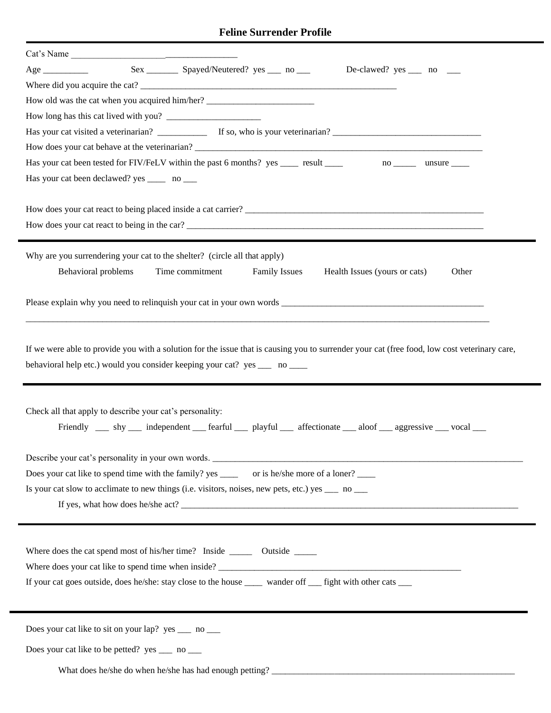## **Feline Surrender Profile**

| Cat's Name                                                                                                                                   |  |  |  |  |
|----------------------------------------------------------------------------------------------------------------------------------------------|--|--|--|--|
| Sex _________ Spayed/Neutered? yes _____ no ____<br>De-clawed? $yes \_$ no $\_$                                                              |  |  |  |  |
|                                                                                                                                              |  |  |  |  |
| How old was the cat when you acquired him/her? _________________________________                                                             |  |  |  |  |
|                                                                                                                                              |  |  |  |  |
|                                                                                                                                              |  |  |  |  |
|                                                                                                                                              |  |  |  |  |
| Has your cat been tested for FIV/FeLV within the past 6 months? yes ______ result _______ no ______ unsure ____                              |  |  |  |  |
| Has your cat been declawed? yes ______ no ____                                                                                               |  |  |  |  |
|                                                                                                                                              |  |  |  |  |
|                                                                                                                                              |  |  |  |  |
| How does your cat react to being in the car?                                                                                                 |  |  |  |  |
|                                                                                                                                              |  |  |  |  |
| Why are you surrendering your cat to the shelter? (circle all that apply)                                                                    |  |  |  |  |
| Behavioral problems<br>Time commitment<br>Health Issues (yours or cats)<br><b>Family Issues</b><br>Other                                     |  |  |  |  |
|                                                                                                                                              |  |  |  |  |
| Please explain why you need to relinquish your cat in your own words                                                                         |  |  |  |  |
|                                                                                                                                              |  |  |  |  |
|                                                                                                                                              |  |  |  |  |
| If we were able to provide you with a solution for the issue that is causing you to surrender your cat (free food, low cost veterinary care, |  |  |  |  |
| behavioral help etc.) would you consider keeping your cat? yes ____ no ____                                                                  |  |  |  |  |
|                                                                                                                                              |  |  |  |  |
|                                                                                                                                              |  |  |  |  |
| Check all that apply to describe your cat's personality:                                                                                     |  |  |  |  |
| Friendly _____ shy _____ independent ______ fearful ________ playful ______ affectionate _____ aloof _____ aggressive ______ vocal ____      |  |  |  |  |
|                                                                                                                                              |  |  |  |  |
| Describe your cat's personality in your own words.                                                                                           |  |  |  |  |
| Does your cat like to spend time with the family? yes ________ or is he/she more of a loner?                                                 |  |  |  |  |
| Is your cat slow to acclimate to new things (i.e. visitors, noises, new pets, etc.) yes $\frac{ }{ }$ no $\frac{ }{ }$                       |  |  |  |  |
| If yes, what how does he/she act?                                                                                                            |  |  |  |  |
|                                                                                                                                              |  |  |  |  |
|                                                                                                                                              |  |  |  |  |
| Where does your cat like to spend time when inside?                                                                                          |  |  |  |  |
| If your cat goes outside, does he/she: stay close to the house _____ wander off ___ fight with other cats ___                                |  |  |  |  |
|                                                                                                                                              |  |  |  |  |
|                                                                                                                                              |  |  |  |  |
| Does your cat like to sit on your lap? yes _____ no _____                                                                                    |  |  |  |  |
| Does your cat like to be petted? yes ____ no ___                                                                                             |  |  |  |  |
|                                                                                                                                              |  |  |  |  |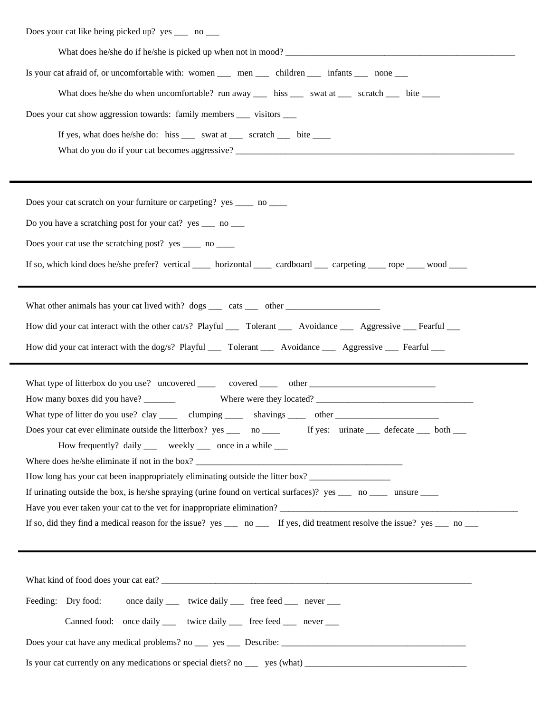| Does your cat like being picked up? yes _____ no ____                                                                         |
|-------------------------------------------------------------------------------------------------------------------------------|
|                                                                                                                               |
| Is your cat afraid of, or uncomfortable with: women _____ men ______ children _______ infants ______ none ____                |
| What does he/she do when uncomfortable? run away _____ hiss ______ swat at ______ scratch ______ bite ______                  |
| Does your cat show aggression towards: family members ______ visitors ______                                                  |
| If yes, what does he/she do: hiss _____ swat at _____ scratch _____ bite _____                                                |
| Does your cat scratch on your furniture or carpeting? yes ______ no _____                                                     |
| Do you have a scratching post for your cat? yes ____ no ____                                                                  |
| Does your cat use the scratching post? yes ______ no ______                                                                   |
| If so, which kind does he/she prefer? vertical _____ horizontal _____ cardboard ____ carpeting _____ rope _____ wood _____    |
|                                                                                                                               |
| How did your cat interact with the other cat/s? Playful _____ Tolerant _______ Avoidance _______ Aggressive ____ Fearful ____ |
| How did your cat interact with the dog/s? Playful ______ Tolerant ________ Avoidance ________ Aggressive _____ Fearful _____  |
|                                                                                                                               |
|                                                                                                                               |
| What type of litter do you use? clay _______ clumping _______ shavings _______ other _________________________                |
| Does your cat ever eliminate outside the litterbox? yes _____ no ______ If yes: urinate _____ defecate ____ both              |
| How frequently? daily _____ weekly _____ once in a while _____                                                                |
| How long has your cat been inappropriately eliminating outside the litter box?                                                |
| If urinating outside the box, is he/she spraying (urine found on vertical surfaces)? yes _____ no ______ unsure _____         |
|                                                                                                                               |
| If so, did they find a medical reason for the issue? yes __ no __ If yes, did treatment resolve the issue? yes __ no __       |
|                                                                                                                               |
|                                                                                                                               |
| Feeding: Dry food:<br>once daily _____ twice daily ______ free feed ______ never ____                                         |
| Canned food: once daily _____ twice daily ______ free feed ______ never _____                                                 |
|                                                                                                                               |
|                                                                                                                               |